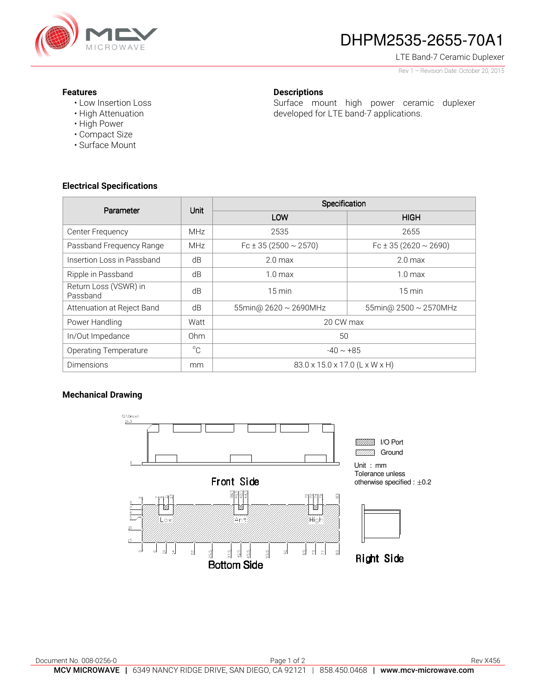

# DHPM2535-2655-70A1

Surface mount high power ceramic duplexer

developed for LTE band-7 applications.

LTE Band-7 Ceramic Duplexer

Rev 1 – Revision Date: October 20, 2015

#### **Features**

- Low Insertion Loss
- High Attenuation
- High Power
- Compact Size
- Surface Mount

#### **Electrical Specifications**

| Parameter                         | Unit            | Specification                  |                                |
|-----------------------------------|-----------------|--------------------------------|--------------------------------|
|                                   |                 | LOW                            | <b>HIGH</b>                    |
| Center Frequency                  | <b>MHz</b>      | 2535                           | 2655                           |
| Passband Frequency Range          | <b>MHz</b>      | Fc $\pm$ 35 (2500 $\sim$ 2570) | Fc $\pm$ 35 (2620 $\sim$ 2690) |
| Insertion Loss in Passband        | dB              | 2.0 <sub>max</sub>             | 2.0 <sub>max</sub>             |
| Ripple in Passband                | dB              | $1.0 \text{ max}$              | $1.0 \text{ max}$              |
| Return Loss (VSWR) in<br>Passband | dB              | $15 \text{ min}$               | $15 \text{ min}$               |
| Attenuation at Reject Band        | dB              | 55min@ $2620 \sim 2690$ MHz    | 55min@ $2500 \sim 2570$ MHz    |
| Power Handling                    | Watt            | 20 CW max                      |                                |
| In/Out Impedance                  | 0 <sub>hm</sub> | 50                             |                                |
| <b>Operating Temperature</b>      | $^{\circ}C$     | $-40 \sim +85$                 |                                |
| <b>Dimensions</b>                 | mm              | 83.0 x 15.0 x 17.0 (L x W x H) |                                |

**Descriptions** 

### **Mechanical Drawing**